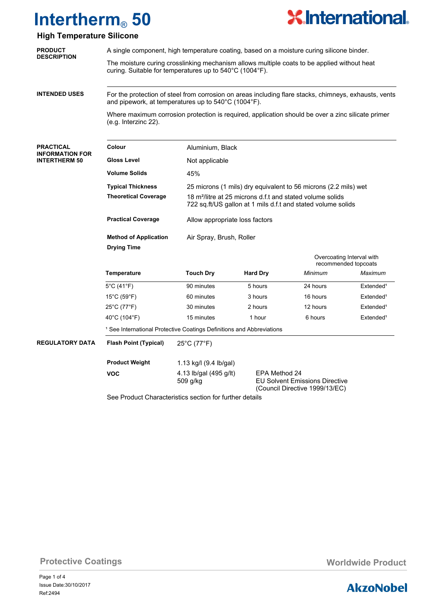

### **High Temperature Silicone**

| <b>PRODUCT</b>                                 | A single component, high temperature coating, based on a moisture curing silicone binder.<br>The moisture curing crosslinking mechanism allows multiple coats to be applied without heat<br>curing. Suitable for temperatures up to 540°C (1004°F). |                                                                                                                                       |                                                                 |                                                                         |                       |  |  |  |
|------------------------------------------------|-----------------------------------------------------------------------------------------------------------------------------------------------------------------------------------------------------------------------------------------------------|---------------------------------------------------------------------------------------------------------------------------------------|-----------------------------------------------------------------|-------------------------------------------------------------------------|-----------------------|--|--|--|
| <b>DESCRIPTION</b>                             |                                                                                                                                                                                                                                                     |                                                                                                                                       |                                                                 |                                                                         |                       |  |  |  |
| <b>INTENDED USES</b>                           | For the protection of steel from corrosion on areas including flare stacks, chimneys, exhausts, vents<br>and pipework, at temperatures up to 540°C (1004°F).                                                                                        |                                                                                                                                       |                                                                 |                                                                         |                       |  |  |  |
|                                                | Where maximum corrosion protection is required, application should be over a zinc silicate primer<br>(e.g. Interzinc 22).                                                                                                                           |                                                                                                                                       |                                                                 |                                                                         |                       |  |  |  |
| <b>PRACTICAL</b>                               | Colour                                                                                                                                                                                                                                              | Aluminium, Black                                                                                                                      |                                                                 |                                                                         |                       |  |  |  |
| <b>INFORMATION FOR</b><br><b>INTERTHERM 50</b> | <b>Gloss Level</b>                                                                                                                                                                                                                                  | Not applicable                                                                                                                        |                                                                 |                                                                         |                       |  |  |  |
|                                                | <b>Volume Solids</b>                                                                                                                                                                                                                                | 45%                                                                                                                                   |                                                                 |                                                                         |                       |  |  |  |
|                                                | <b>Typical Thickness</b>                                                                                                                                                                                                                            |                                                                                                                                       | 25 microns (1 mils) dry equivalent to 56 microns (2.2 mils) wet |                                                                         |                       |  |  |  |
|                                                | <b>Theoretical Coverage</b>                                                                                                                                                                                                                         | 18 m <sup>2</sup> /litre at 25 microns d.f.t and stated volume solids<br>722 sq.ft/US gallon at 1 mils d.f.t and stated volume solids |                                                                 |                                                                         |                       |  |  |  |
|                                                | <b>Practical Coverage</b>                                                                                                                                                                                                                           | Allow appropriate loss factors                                                                                                        |                                                                 |                                                                         |                       |  |  |  |
|                                                | <b>Method of Application</b><br><b>Drying Time</b>                                                                                                                                                                                                  | Air Spray, Brush, Roller                                                                                                              |                                                                 |                                                                         |                       |  |  |  |
|                                                |                                                                                                                                                                                                                                                     | Overcoating Interval with<br>recommended topcoats                                                                                     |                                                                 |                                                                         |                       |  |  |  |
|                                                | Temperature                                                                                                                                                                                                                                         | <b>Touch Dry</b>                                                                                                                      | <b>Hard Dry</b>                                                 | Minimum                                                                 | Maximum               |  |  |  |
|                                                | 5°C (41°F)                                                                                                                                                                                                                                          | 90 minutes                                                                                                                            | 5 hours                                                         | 24 hours                                                                | Extended <sup>1</sup> |  |  |  |
|                                                | $15^{\circ}$ C (59 $^{\circ}$ F)                                                                                                                                                                                                                    | 60 minutes                                                                                                                            | 3 hours                                                         | 16 hours                                                                | Extended <sup>1</sup> |  |  |  |
|                                                | 25°C (77°F)                                                                                                                                                                                                                                         | 30 minutes                                                                                                                            | 2 hours                                                         | 12 hours                                                                | Extended <sup>1</sup> |  |  |  |
|                                                | 40°C (104°F)                                                                                                                                                                                                                                        | 15 minutes                                                                                                                            | 1 hour                                                          | 6 hours                                                                 | Extended <sup>1</sup> |  |  |  |
|                                                | <sup>1</sup> See International Protective Coatings Definitions and Abbreviations                                                                                                                                                                    |                                                                                                                                       |                                                                 |                                                                         |                       |  |  |  |
| <b>REGULATORY DATA</b>                         | <b>Flash Point (Typical)</b>                                                                                                                                                                                                                        | 25°C (77°F)                                                                                                                           |                                                                 |                                                                         |                       |  |  |  |
|                                                | <b>Product Weight</b>                                                                                                                                                                                                                               | 1.13 kg/l (9.4 lb/gal)                                                                                                                |                                                                 |                                                                         |                       |  |  |  |
|                                                | <b>VOC</b>                                                                                                                                                                                                                                          | 4.13 lb/gal (495 g/lt)<br>509 g/kg                                                                                                    | EPA Method 24                                                   | <b>EU Solvent Emissions Directive</b><br>(Council Directive 1999/13/EC) |                       |  |  |  |

See Product Characteristics section for further details

**Protective Coatings Worldwide Product Worldwide Product** 

Page 1 of 4 Ref:2494 Issue Date:30/10/2017

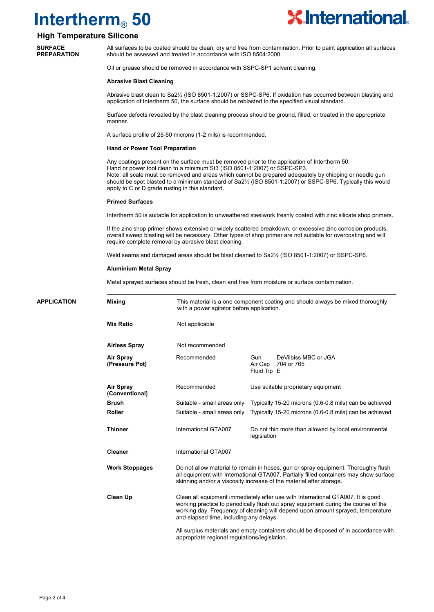

### **High Temperature Silicone**

**SURFACE PREPARATION**

All surfaces to be coated should be clean, dry and free from contamination. Prior to paint application all surfaces should be assessed and treated in accordance with ISO 8504:2000.

Oil or grease should be removed in accordance with SSPC-SP1 solvent cleaning.

#### **Abrasive Blast Cleaning**

Abrasive blast clean to Sa2½ (ISO 8501-1:2007) or SSPC-SP6. If oxidation has occurred between blasting and application of Intertherm 50, the surface should be reblasted to the specified visual standard.

Surface defects revealed by the blast cleaning process should be ground, filled, or treated in the appropriate manner.

A surface profile of 25-50 microns (1-2 mils) is recommended.

#### **Hand or Power Tool Preparation**

Any coatings present on the surface must be removed prior to the application of Intertherm 50. Hand or power tool clean to a minimum St3 (ISO 8501-1:2007) or SSPC-SP3. Note, all scale must be removed and areas which cannot be prepared adequately by chipping or needle gun should be spot blasted to a minimum standard of Sa2½ (ISO 8501-1:2007) or SSPC-SP6. Typically this would apply to C or D grade rusting in this standard.

#### **Primed Surfaces**

Intertherm 50 is suitable for application to unweathered steelwork freshly coated with zinc silicate shop primers.

If the zinc shop primer shows extensive or widely scattered breakdown, or excessive zinc corrosion products, overall sweep blasting will be necessary. Other types of shop primer are not suitable for overcoating and will require complete removal by abrasive blast cleaning.

Weld seams and damaged areas should be blast cleaned to Sa2½ (ISO 8501-1:2007) or SSPC-SP6.

#### **Aluminium Metal Spray**

Metal sprayed surfaces should be fresh, clean and free from moisture or surface contamination.

| <b>APPLICATION</b>   | <b>Mixing</b>                      | This material is a one component coating and should always be mixed thoroughly<br>with a power agitator before application.                                                                                                                                                                          |                                                                     |  |  |  |
|----------------------|------------------------------------|------------------------------------------------------------------------------------------------------------------------------------------------------------------------------------------------------------------------------------------------------------------------------------------------------|---------------------------------------------------------------------|--|--|--|
|                      | <b>Mix Ratio</b>                   | Not applicable                                                                                                                                                                                                                                                                                       |                                                                     |  |  |  |
| <b>Airless Spray</b> |                                    | Not recommended                                                                                                                                                                                                                                                                                      |                                                                     |  |  |  |
|                      | <b>Air Spray</b><br>(Pressure Pot) | Recommended                                                                                                                                                                                                                                                                                          | DeVilbiss MBC or JGA<br>Gun<br>704 or 765<br>Air Cap<br>Fluid Tip E |  |  |  |
|                      | Air Spray<br>(Conventional)        | Recommended                                                                                                                                                                                                                                                                                          | Use suitable proprietary equipment                                  |  |  |  |
|                      | <b>Brush</b>                       | Suitable - small areas only                                                                                                                                                                                                                                                                          | Typically 15-20 microns (0.6-0.8 mils) can be achieved              |  |  |  |
|                      | <b>Roller</b>                      | Suitable - small areas only                                                                                                                                                                                                                                                                          | Typically 15-20 microns (0.6-0.8 mils) can be achieved              |  |  |  |
|                      | <b>Thinner</b>                     | International GTA007                                                                                                                                                                                                                                                                                 | Do not thin more than allowed by local environmental<br>legislation |  |  |  |
|                      | <b>Cleaner</b>                     | International GTA007                                                                                                                                                                                                                                                                                 |                                                                     |  |  |  |
|                      | <b>Work Stoppages</b>              | Do not allow material to remain in hoses, gun or spray equipment. Thoroughly flush<br>all equipment with International GTA007. Partially filled containers may show surface<br>skinning and/or a viscosity increase of the material after storage.                                                   |                                                                     |  |  |  |
|                      | <b>Clean Up</b>                    | Clean all equipment immediately after use with International GTA007. It is good<br>working practice to periodically flush out spray equipment during the course of the<br>working day. Frequency of cleaning will depend upon amount sprayed, temperature<br>and elapsed time, including any delays. |                                                                     |  |  |  |
|                      |                                    | All surplus materials and empty containers should be disposed of in accordance with<br>appropriate regional regulations/legislation.                                                                                                                                                                 |                                                                     |  |  |  |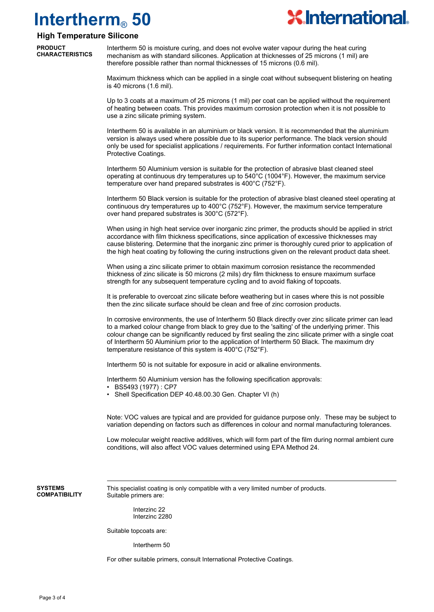

### **High Temperature Silicone**

**PRODUCT CHARACTERISTICS**

Intertherm 50 is moisture curing, and does not evolve water vapour during the heat curing mechanism as with standard silicones. Application at thicknesses of 25 microns (1 mil) are therefore possible rather than normal thicknesses of 15 microns (0.6 mil).

Maximum thickness which can be applied in a single coat without subsequent blistering on heating is 40 microns (1.6 mil).

Up to 3 coats at a maximum of 25 microns (1 mil) per coat can be applied without the requirement of heating between coats. This provides maximum corrosion protection when it is not possible to use a zinc silicate priming system.

Intertherm 50 is available in an aluminium or black version. It is recommended that the aluminium version is always used where possible due to its superior performance. The black version should only be used for specialist applications / requirements. For further information contact International Protective Coatings.

Intertherm 50 Aluminium version is suitable for the protection of abrasive blast cleaned steel operating at continuous dry temperatures up to  $540^{\circ}$ C (1004 $^{\circ}$ F). However, the maximum service temperature over hand prepared substrates is 400°C (752°F).

Intertherm 50 Black version is suitable for the protection of abrasive blast cleaned steel operating at continuous dry temperatures up to 400°C (752°F). However, the maximum service temperature over hand prepared substrates is 300°C (572°F).

When using in high heat service over inorganic zinc primer, the products should be applied in strict accordance with film thickness specifications, since application of excessive thicknesses may cause blistering. Determine that the inorganic zinc primer is thoroughly cured prior to application of the high heat coating by following the curing instructions given on the relevant product data sheet.

When using a zinc silicate primer to obtain maximum corrosion resistance the recommended thickness of zinc silicate is 50 microns (2 mils) dry film thickness to ensure maximum surface strength for any subsequent temperature cycling and to avoid flaking of topcoats.

It is preferable to overcoat zinc silicate before weathering but in cases where this is not possible then the zinc silicate surface should be clean and free of zinc corrosion products.

In corrosive environments, the use of Intertherm 50 Black directly over zinc silicate primer can lead to a marked colour change from black to grey due to the 'salting' of the underlying primer. This colour change can be significantly reduced by first sealing the zinc silicate primer with a single coat of Intertherm 50 Aluminium prior to the application of Intertherm 50 Black. The maximum dry temperature resistance of this system is 400°C (752°F).

Intertherm 50 is not suitable for exposure in acid or alkaline environments.

Intertherm 50 Aluminium version has the following specification approvals:

- BS5493 (1977) : CP7
- Shell Specification DEP 40.48.00.30 Gen. Chapter VI (h)

Note: VOC values are typical and are provided for guidance purpose only. These may be subject to variation depending on factors such as differences in colour and normal manufacturing tolerances.

Low molecular weight reactive additives, which will form part of the film during normal ambient cure conditions, will also affect VOC values determined using EPA Method 24.

**SYSTEMS COMPATIBILITY** This specialist coating is only compatible with a very limited number of products. Suitable primers are:

> Interzinc 22 Interzinc 2280

Suitable topcoats are:

Intertherm 50

For other suitable primers, consult International Protective Coatings.